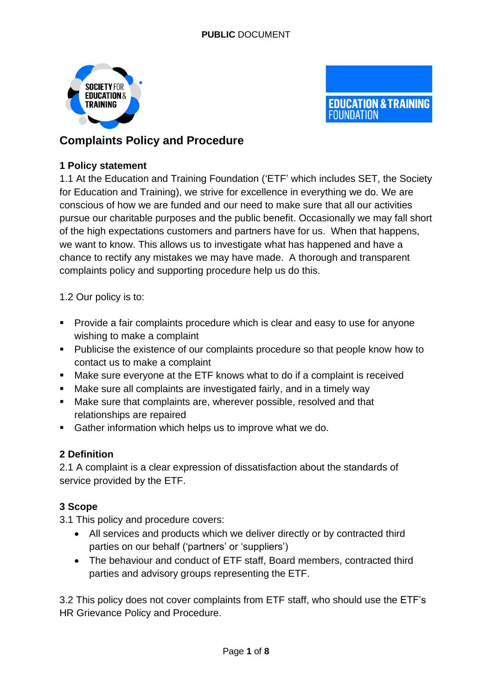



# **Complaints Policy and Procedure**

# **1 Policy statement**

1.1 At the Education and Training Foundation ('ETF' which includes SET, the Society for Education and Training), we strive for excellence in everything we do. We are conscious of how we are funded and our need to make sure that all our activities pursue our charitable purposes and the public benefit. Occasionally we may fall short of the high expectations customers and partners have for us. When that happens, we want to know. This allows us to investigate what has happened and have a chance to rectify any mistakes we may have made. A thorough and transparent complaints policy and supporting procedure help us do this.

1.2 Our policy is to:

- Provide a fair complaints procedure which is clear and easy to use for anyone wishing to make a complaint
- Publicise the existence of our complaints procedure so that people know how to contact us to make a complaint
- Make sure everyone at the ETF knows what to do if a complaint is received
- Make sure all complaints are investigated fairly, and in a timely way
- Make sure that complaints are, wherever possible, resolved and that relationships are repaired
- Gather information which helps us to improve what we do.

# **2 Definition**

2.1 A complaint is a clear expression of dissatisfaction about the standards of service provided by the ETF.

# **3 Scope**

3.1 This policy and procedure covers:

- All services and products which we deliver directly or by contracted third parties on our behalf ('partners' or 'suppliers')
- The behaviour and conduct of ETF staff, Board members, contracted third parties and advisory groups representing the ETF.

3.2 This policy does not cover complaints from ETF staff, who should use the ETF's HR Grievance Policy and Procedure.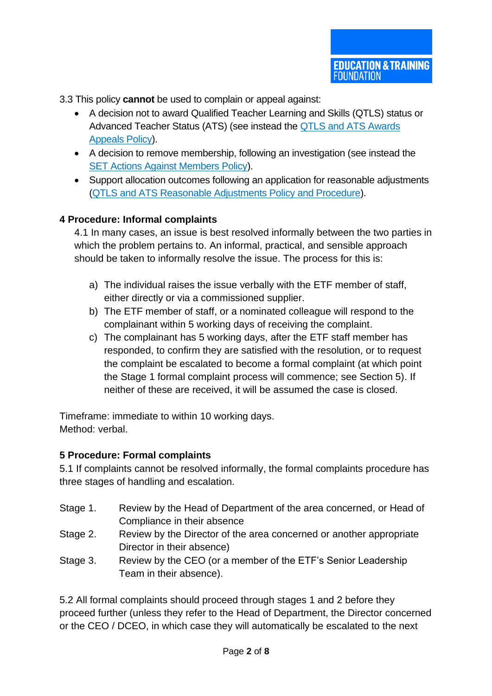3.3 This policy **cannot** be used to complain or appeal against:

- A decision not to award Qualified Teacher Learning and Skills (QTLS) status or Advanced Teacher Status (ATS) (see instead the [QTLS and ATS Awards](https://set.et-foundation.co.uk/help/set-policies-and-procedures/set-code-of-professional-practice-and-procedures/qtls-and-ats-awards-appeals-policy)  [Appeals Policy\)](https://set.et-foundation.co.uk/help/set-policies-and-procedures/set-code-of-professional-practice-and-procedures/qtls-and-ats-awards-appeals-policy).
- A decision to remove membership, following an investigation (see instead the [SET Actions Against Members Policy\)](https://set.et-foundation.co.uk/help/set-policies-and-procedures/set-code-of-professional-practice-and-procedures/set-actions-against-members-policy).
- Support allocation outcomes following an application for reasonable adjustments [\(QTLS and ATS Reasonable Adjustments Policy and Procedure\)](https://set.et-foundation.co.uk/help/set-policies-and-procedures/qtls-and-ats-reasonable-adjustments-policy-and-procedure).

## **4 Procedure: Informal complaints**

4.1 In many cases, an issue is best resolved informally between the two parties in which the problem pertains to. An informal, practical, and sensible approach should be taken to informally resolve the issue. The process for this is:

- a) The individual raises the issue verbally with the ETF member of staff, either directly or via a commissioned supplier.
- b) The ETF member of staff, or a nominated colleague will respond to the complainant within 5 working days of receiving the complaint.
- c) The complainant has 5 working days, after the ETF staff member has responded, to confirm they are satisfied with the resolution, or to request the complaint be escalated to become a formal complaint (at which point the Stage 1 formal complaint process will commence; see Section 5). If neither of these are received, it will be assumed the case is closed.

Timeframe: immediate to within 10 working days. Method: verbal.

#### **5 Procedure: Formal complaints**

5.1 If complaints cannot be resolved informally, the formal complaints procedure has three stages of handling and escalation.

- Stage 1. Review by the Head of Department of the area concerned, or Head of Compliance in their absence
- Stage 2. Review by the Director of the area concerned or another appropriate Director in their absence)
- Stage 3. Review by the CEO (or a member of the ETF's Senior Leadership Team in their absence).

5.2 All formal complaints should proceed through stages 1 and 2 before they proceed further (unless they refer to the Head of Department, the Director concerned or the CEO / DCEO, in which case they will automatically be escalated to the next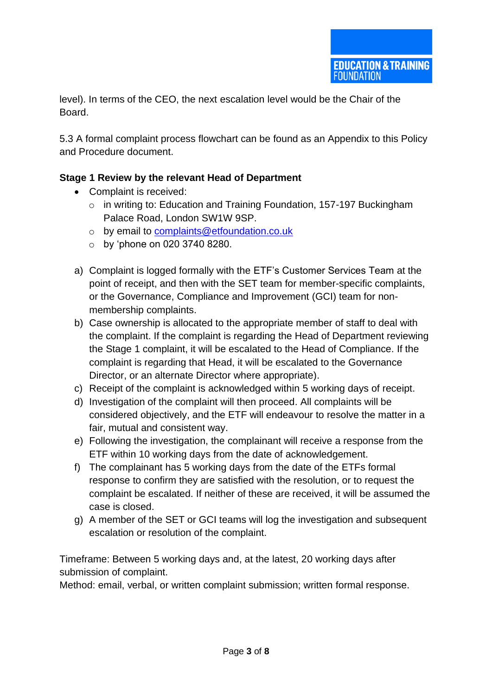level). In terms of the CEO, the next escalation level would be the Chair of the Board.

5.3 A formal complaint process flowchart can be found as an Appendix to this Policy and Procedure document.

# **Stage 1 Review by the relevant Head of Department**

- Complaint is received:
	- o in writing to: Education and Training Foundation, 157-197 Buckingham Palace Road, London SW1W 9SP.
	- o by email to [complaints@etfoundation.co.uk](mailto:complaints@etfoundation.co.uk)
	- $\circ$  by 'phone on 020 3740 8280.
- a) Complaint is logged formally with the ETF's Customer Services Team at the point of receipt, and then with the SET team for member-specific complaints, or the Governance, Compliance and Improvement (GCI) team for nonmembership complaints.
- b) Case ownership is allocated to the appropriate member of staff to deal with the complaint. If the complaint is regarding the Head of Department reviewing the Stage 1 complaint, it will be escalated to the Head of Compliance. If the complaint is regarding that Head, it will be escalated to the Governance Director, or an alternate Director where appropriate).
- c) Receipt of the complaint is acknowledged within 5 working days of receipt.
- d) Investigation of the complaint will then proceed. All complaints will be considered objectively, and the ETF will endeavour to resolve the matter in a fair, mutual and consistent way.
- e) Following the investigation, the complainant will receive a response from the ETF within 10 working days from the date of acknowledgement.
- f) The complainant has 5 working days from the date of the ETFs formal response to confirm they are satisfied with the resolution, or to request the complaint be escalated. If neither of these are received, it will be assumed the case is closed.
- g) A member of the SET or GCI teams will log the investigation and subsequent escalation or resolution of the complaint.

Timeframe: Between 5 working days and, at the latest, 20 working days after submission of complaint.

Method: email, verbal, or written complaint submission; written formal response.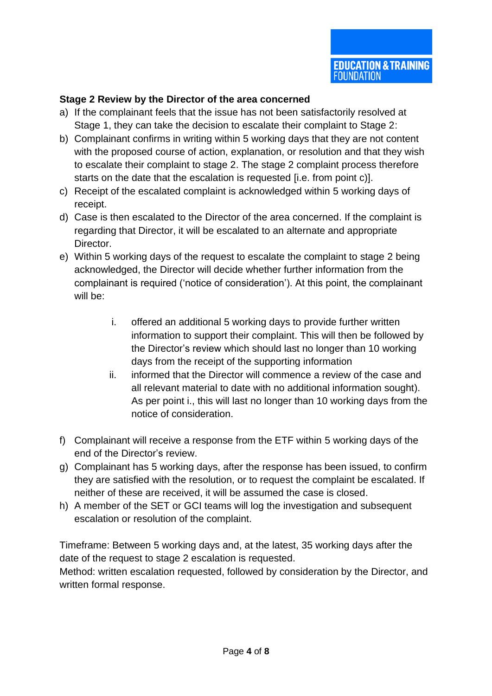# **Stage 2 Review by the Director of the area concerned**

- a) If the complainant feels that the issue has not been satisfactorily resolved at Stage 1, they can take the decision to escalate their complaint to Stage 2:
- b) Complainant confirms in writing within 5 working days that they are not content with the proposed course of action, explanation, or resolution and that they wish to escalate their complaint to stage 2. The stage 2 complaint process therefore starts on the date that the escalation is requested [i.e. from point c)].
- c) Receipt of the escalated complaint is acknowledged within 5 working days of receipt.
- d) Case is then escalated to the Director of the area concerned. If the complaint is regarding that Director, it will be escalated to an alternate and appropriate Director.
- e) Within 5 working days of the request to escalate the complaint to stage 2 being acknowledged, the Director will decide whether further information from the complainant is required ('notice of consideration'). At this point, the complainant will be:
	- i. offered an additional 5 working days to provide further written information to support their complaint. This will then be followed by the Director's review which should last no longer than 10 working days from the receipt of the supporting information
	- ii. informed that the Director will commence a review of the case and all relevant material to date with no additional information sought). As per point i., this will last no longer than 10 working days from the notice of consideration.
- f) Complainant will receive a response from the ETF within 5 working days of the end of the Director's review.
- g) Complainant has 5 working days, after the response has been issued, to confirm they are satisfied with the resolution, or to request the complaint be escalated. If neither of these are received, it will be assumed the case is closed.
- h) A member of the SET or GCI teams will log the investigation and subsequent escalation or resolution of the complaint.

Timeframe: Between 5 working days and, at the latest, 35 working days after the date of the request to stage 2 escalation is requested.

Method: written escalation requested, followed by consideration by the Director, and written formal response.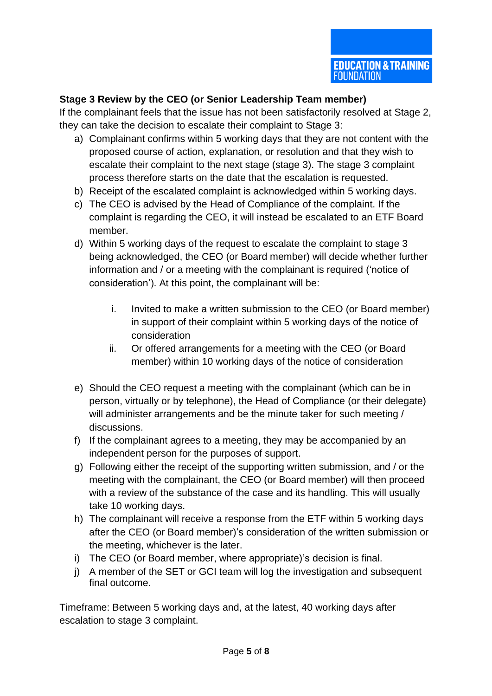## **Stage 3 Review by the CEO (or Senior Leadership Team member)**

If the complainant feels that the issue has not been satisfactorily resolved at Stage 2, they can take the decision to escalate their complaint to Stage 3:

- a) Complainant confirms within 5 working days that they are not content with the proposed course of action, explanation, or resolution and that they wish to escalate their complaint to the next stage (stage 3). The stage 3 complaint process therefore starts on the date that the escalation is requested.
- b) Receipt of the escalated complaint is acknowledged within 5 working days.
- c) The CEO is advised by the Head of Compliance of the complaint. If the complaint is regarding the CEO, it will instead be escalated to an ETF Board member.
- d) Within 5 working days of the request to escalate the complaint to stage 3 being acknowledged, the CEO (or Board member) will decide whether further information and / or a meeting with the complainant is required ('notice of consideration'). At this point, the complainant will be:
	- i. Invited to make a written submission to the CEO (or Board member) in support of their complaint within 5 working days of the notice of consideration
	- ii. Or offered arrangements for a meeting with the CEO (or Board member) within 10 working days of the notice of consideration
- e) Should the CEO request a meeting with the complainant (which can be in person, virtually or by telephone), the Head of Compliance (or their delegate) will administer arrangements and be the minute taker for such meeting / discussions.
- f) If the complainant agrees to a meeting, they may be accompanied by an independent person for the purposes of support.
- g) Following either the receipt of the supporting written submission, and / or the meeting with the complainant, the CEO (or Board member) will then proceed with a review of the substance of the case and its handling. This will usually take 10 working days.
- h) The complainant will receive a response from the ETF within 5 working days after the CEO (or Board member)'s consideration of the written submission or the meeting, whichever is the later.
- i) The CEO (or Board member, where appropriate)'s decision is final.
- j) A member of the SET or GCI team will log the investigation and subsequent final outcome.

Timeframe: Between 5 working days and, at the latest, 40 working days after escalation to stage 3 complaint.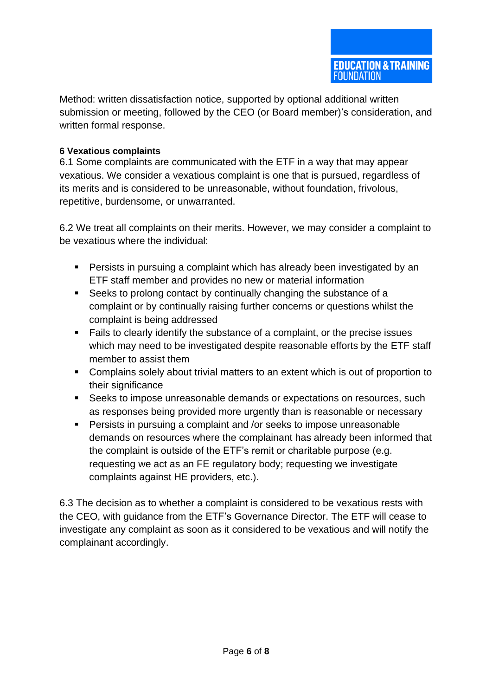Method: written dissatisfaction notice, supported by optional additional written submission or meeting, followed by the CEO (or Board member)'s consideration, and written formal response.

#### **6 Vexatious complaints**

6.1 Some complaints are communicated with the ETF in a way that may appear vexatious. We consider a vexatious complaint is one that is pursued, regardless of its merits and is considered to be unreasonable, without foundation, frivolous, repetitive, burdensome, or unwarranted.

6.2 We treat all complaints on their merits. However, we may consider a complaint to be vexatious where the individual:

- Persists in pursuing a complaint which has already been investigated by an ETF staff member and provides no new or material information
- Seeks to prolong contact by continually changing the substance of a complaint or by continually raising further concerns or questions whilst the complaint is being addressed
- Fails to clearly identify the substance of a complaint, or the precise issues which may need to be investigated despite reasonable efforts by the ETF staff member to assist them
- Complains solely about trivial matters to an extent which is out of proportion to their significance
- Seeks to impose unreasonable demands or expectations on resources, such as responses being provided more urgently than is reasonable or necessary
- Persists in pursuing a complaint and /or seeks to impose unreasonable demands on resources where the complainant has already been informed that the complaint is outside of the ETF's remit or charitable purpose (e.g. requesting we act as an FE regulatory body; requesting we investigate complaints against HE providers, etc.).

6.3 The decision as to whether a complaint is considered to be vexatious rests with the CEO, with guidance from the ETF's Governance Director. The ETF will cease to investigate any complaint as soon as it considered to be vexatious and will notify the complainant accordingly.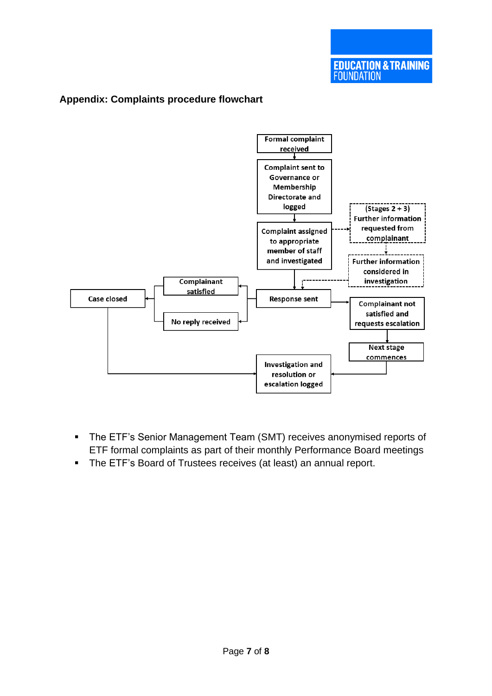#### **Formal complaint** received **Complaint sent to** Governance or Membership **Directorate and** logged  $(Stages 2 + 3)$ **Further information** requested from **Complaint assigned** complainant to appropriate member of staff and investigated **Further information** considered in Complainant investigation satisfied Case closed **Response sent Complainant not** satisfied and No reply received requests escalation **Next stage** commences **Investigation and** resolution or escalation logged

## **Appendix: Complaints procedure flowchart**

- **The ETF's Senior Management Team (SMT) receives anonymised reports of** ETF formal complaints as part of their monthly Performance Board meetings
- **EXTEM** The ETF's Board of Trustees receives (at least) an annual report.